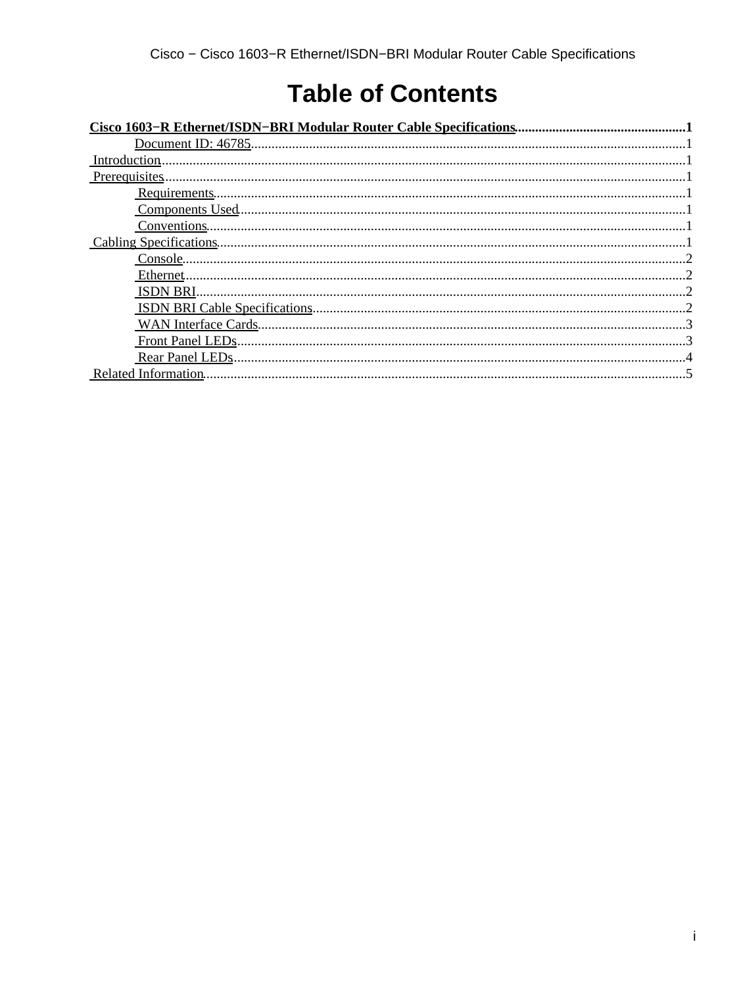# **Table of Contents**

| Introduction. |  |
|---------------|--|
|               |  |
|               |  |
|               |  |
|               |  |
|               |  |
|               |  |
|               |  |
|               |  |
|               |  |
|               |  |
|               |  |
|               |  |
|               |  |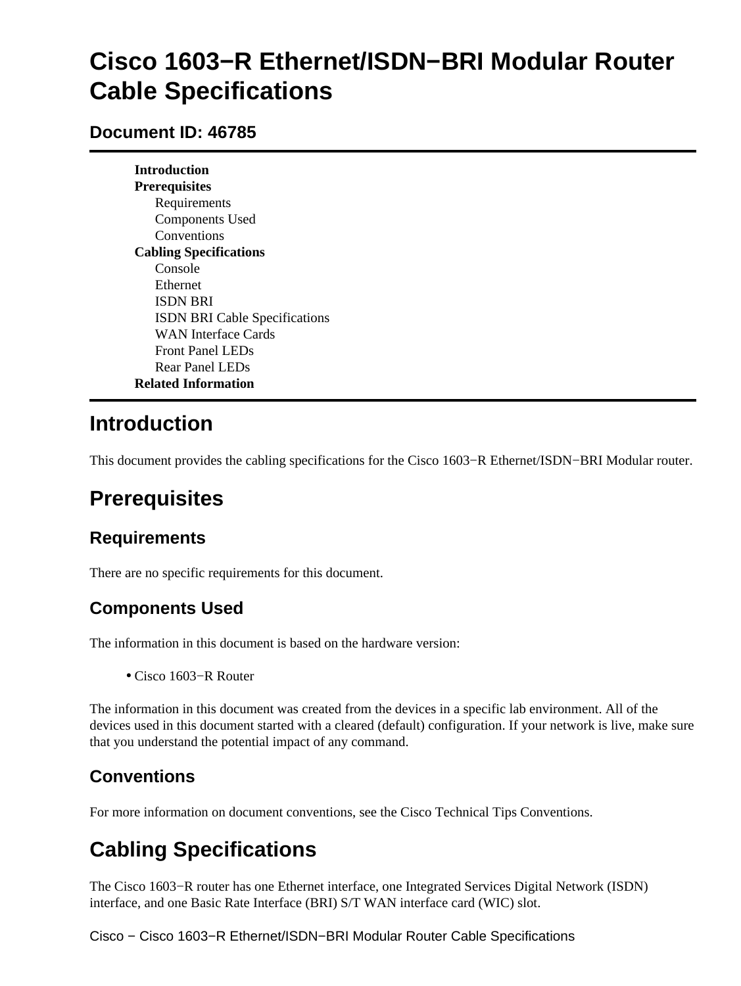# <span id="page-1-0"></span>**Cisco 1603−R Ethernet/ISDN−BRI Modular Router Cable Specifications**

#### <span id="page-1-1"></span>**Document ID: 46785**

**Introduction Prerequisites** Requirements Components Used Conventions **Cabling Specifications** Console Ethernet ISDN BRI ISDN BRI Cable Specifications WAN Interface Cards Front Panel LEDs Rear Panel LEDs **Related Information**

## <span id="page-1-2"></span>**Introduction**

This document provides the cabling specifications for the Cisco 1603−R Ethernet/ISDN−BRI Modular router.

# <span id="page-1-3"></span>**Prerequisites**

### <span id="page-1-4"></span>**Requirements**

There are no specific requirements for this document.

### <span id="page-1-5"></span>**Components Used**

The information in this document is based on the hardware version:

• Cisco 1603−R Router

The information in this document was created from the devices in a specific lab environment. All of the devices used in this document started with a cleared (default) configuration. If your network is live, make sure that you understand the potential impact of any command.

## <span id="page-1-6"></span>**Conventions**

For more information on document conventions, see the Cisco Technical Tips Conventions.

# <span id="page-1-7"></span>**Cabling Specifications**

The Cisco 1603−R router has one Ethernet interface, one Integrated Services Digital Network (ISDN) interface, and one Basic Rate Interface (BRI) S/T WAN interface card (WIC) slot.

Cisco − Cisco 1603−R Ethernet/ISDN−BRI Modular Router Cable Specifications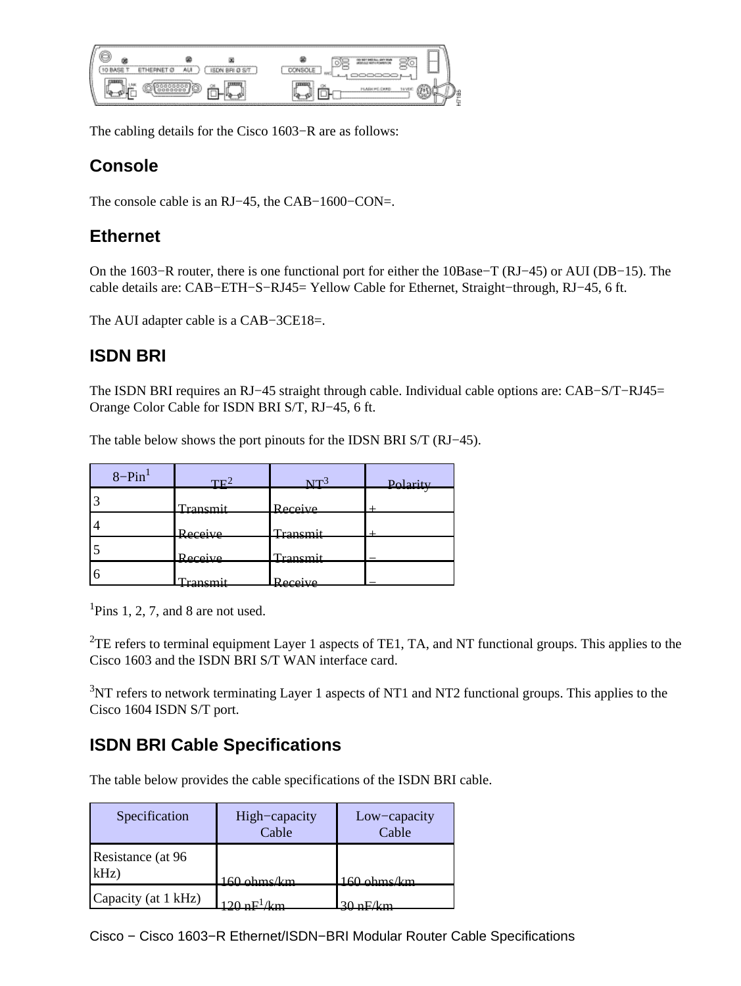|                                 | A.1                                              | ---<br>                                                                        |
|---------------------------------|--------------------------------------------------|--------------------------------------------------------------------------------|
| I<br>----------<br>œ<br>------- | ------------------------------<br>----------<br> | <b>Bannon</b><br><b>Second Terms of</b><br>-----------------<br>-------------- |

The cabling details for the Cisco 1603−R are as follows:

#### <span id="page-2-0"></span>**Console**

The console cable is an RJ−45, the CAB−1600−CON=.

#### <span id="page-2-1"></span>**Ethernet**

On the 1603−R router, there is one functional port for either the 10Base−T (RJ−45) or AUI (DB−15). The cable details are: CAB−ETH−S−RJ45= Yellow Cable for Ethernet, Straight−through, RJ−45, 6 ft.

The AUI adapter cable is a CAB−3CE18=.

#### <span id="page-2-2"></span>**ISDN BRI**

The ISDN BRI requires an RJ−45 straight through cable. Individual cable options are: CAB−S/T−RJ45= Orange Color Cable for ISDN BRI S/T, RJ−45, 6 ft.

The table below shows the port pinouts for the IDSN BRI S/T (RJ−45).

| $8-Pin^1$ | $TF^2$           | $NT^3$              | Polarity |
|-----------|------------------|---------------------|----------|
|           | <u>Fransmit</u>  | Receive             |          |
|           | .<br>Receive     | Transmit            |          |
|           | Receive          | Transmit            |          |
|           | $r_{0}$ nom<br>. | Receive<br>11000170 |          |

<sup>1</sup>Pins 1, 2, 7, and 8 are not used.

<sup>2</sup>TE refers to terminal equipment Layer 1 aspects of TE1, TA, and NT functional groups. This applies to the Cisco 1603 and the ISDN BRI S/T WAN interface card.

 $3$ <sub>NT</sub> refers to network terminating Layer 1 aspects of NT1 and NT2 functional groups. This applies to the Cisco 1604 ISDN S/T port.

## <span id="page-2-3"></span>**ISDN BRI Cable Specifications**

The table below provides the cable specifications of the ISDN BRI cable.

| Specification                | High-capacity<br>Cable | Low-capacity<br>Cable |
|------------------------------|------------------------|-----------------------|
| Resistance (at 96<br>$kHz$ ) | $160 \rho$ hme $k$ m   | $160$ ohmellm         |
| Capacity (at 1 kHz)          |                        |                       |

Cisco − Cisco 1603−R Ethernet/ISDN−BRI Modular Router Cable Specifications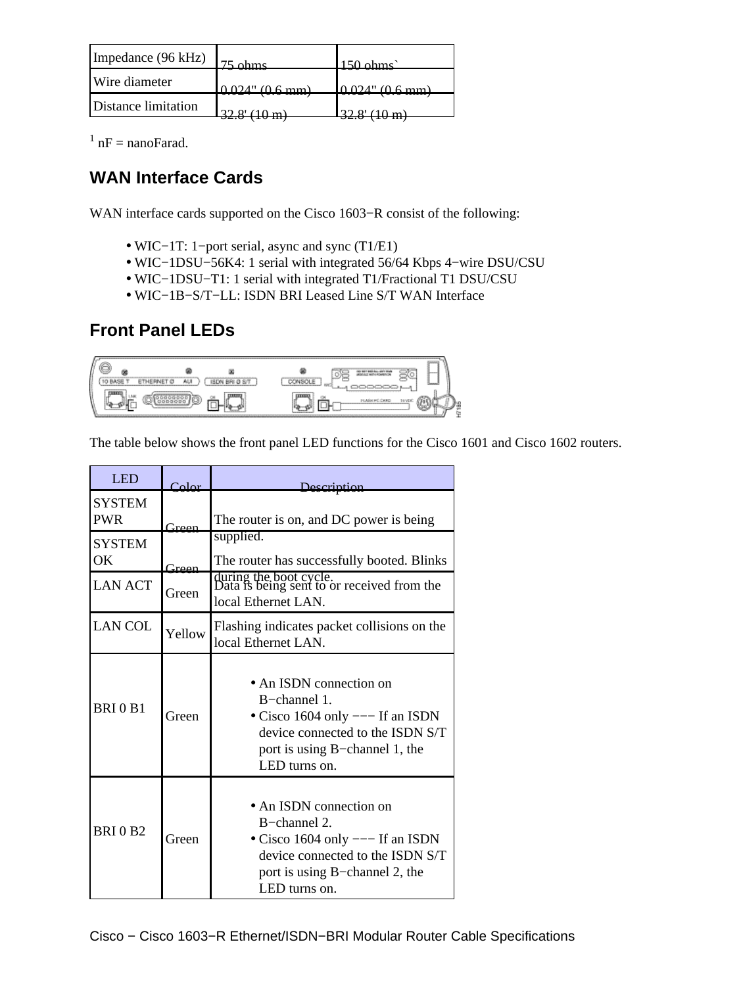| Impedance (96 kHz)  | $75 \text{ km}$ c            | $150 \text{ ohme}$ |
|---------------------|------------------------------|--------------------|
| Wire diameter       | $0.024$ " $(0.6 \text{ mm})$ | $0.024$ " (0.6 mm) |
| Distance limitation |                              |                    |

 $1 nF =$  nanoFarad.

### <span id="page-3-0"></span>**WAN Interface Cards**

WAN interface cards supported on the Cisco 1603−R consist of the following:

- WIC−1T: 1−port serial, async and sync (T1/E1)
- WIC−1DSU−56K4: 1 serial with integrated 56/64 Kbps 4−wire DSU/CSU
- WIC−1DSU−T1: 1 serial with integrated T1/Fractional T1 DSU/CSU
- WIC−1B−S/T−LL: ISDN BRI Leased Line S/T WAN Interface

### **Front Panel LEDs**

<span id="page-3-1"></span>

The table below shows the front panel LED functions for the Cisco 1601 and Cisco 1602 routers.

| <b>LED</b>                  | $C$ olor | Description                                                                                                                                                          |  |
|-----------------------------|----------|----------------------------------------------------------------------------------------------------------------------------------------------------------------------|--|
| <b>SYSTEM</b><br><b>PWR</b> | Green    | The router is on, and DC power is being                                                                                                                              |  |
| <b>SYSTEM</b><br>OK         | $G$ reen | supplied.<br>The router has successfully booted. Blinks                                                                                                              |  |
| <b>LAN ACT</b>              | Green    | during the boot cycle.<br>Data is being sent to or received from the<br>local Ethernet LAN.                                                                          |  |
| <b>LAN COL</b>              | Yellow   | Flashing indicates packet collisions on the<br>local Ethernet LAN.                                                                                                   |  |
| <b>BRI0B1</b>               | Green    | • An ISDN connection on<br>B-channel 1.<br>• Cisco 1604 only $---$ If an ISDN<br>device connected to the ISDN S/T<br>port is using B-channel 1, the<br>LED turns on. |  |
| <b>BRI0B2</b>               | Green    | • An ISDN connection on<br>B-channel 2.<br>• Cisco 1604 only $---$ If an ISDN<br>device connected to the ISDN S/T<br>port is using B-channel 2, the<br>LED turns on. |  |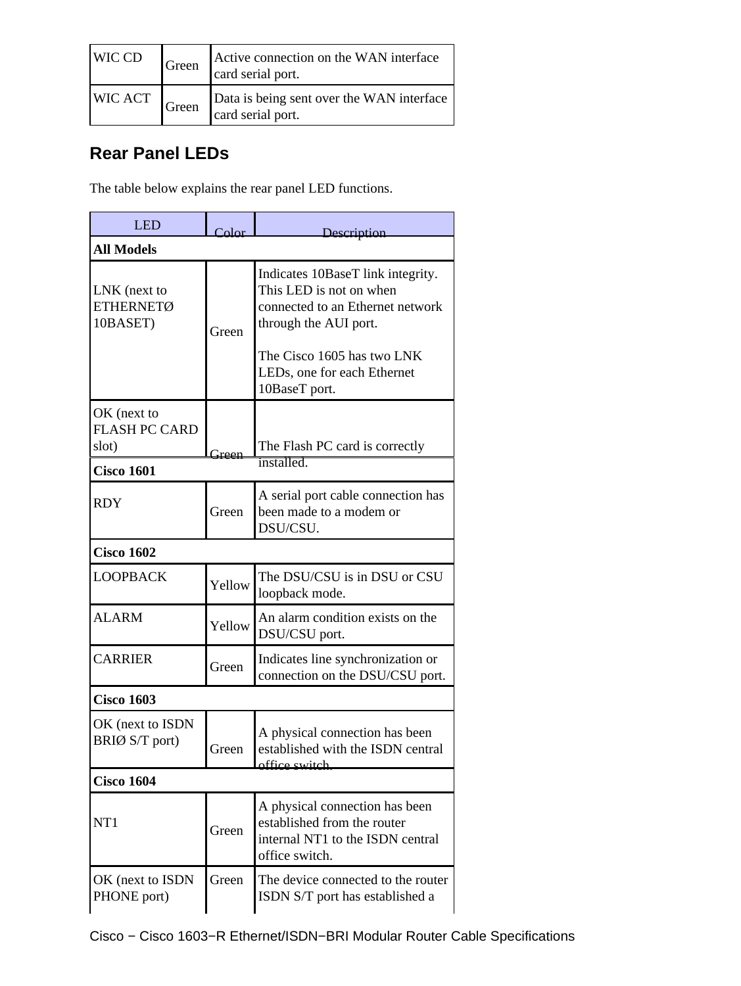| WIC CD                       | Green | Active connection on the WAN interface<br>card serial port.    |
|------------------------------|-------|----------------------------------------------------------------|
| WIC ACT $ G $ Green $\Gamma$ |       | Data is being sent over the WAN interface<br>card serial port. |

### <span id="page-4-0"></span>**Rear Panel LEDs**

The table below explains the rear panel LED functions.

| <b>LED</b>                                   | $_{\rm Color}$ | Description                                                                                                                                                                                             |  |
|----------------------------------------------|----------------|---------------------------------------------------------------------------------------------------------------------------------------------------------------------------------------------------------|--|
| <b>All Models</b>                            |                |                                                                                                                                                                                                         |  |
| LNK (next to<br><b>ETHERNETØ</b><br>10BASET) | Green          | Indicates 10BaseT link integrity.<br>This LED is not on when<br>connected to an Ethernet network<br>through the AUI port.<br>The Cisco 1605 has two LNK<br>LEDs, one for each Ethernet<br>10BaseT port. |  |
| OK (next to<br><b>FLASH PC CARD</b><br>slot) | <u> Ireen</u>  | The Flash PC card is correctly                                                                                                                                                                          |  |
| <b>Cisco 1601</b>                            |                | installed.                                                                                                                                                                                              |  |
| <b>RDY</b>                                   | Green          | A serial port cable connection has<br>been made to a modem or<br>DSU/CSU.                                                                                                                               |  |
| <b>Cisco 1602</b>                            |                |                                                                                                                                                                                                         |  |
| <b>LOOPBACK</b>                              | Yellow         | The DSU/CSU is in DSU or CSU<br>loopback mode.                                                                                                                                                          |  |
| <b>ALARM</b>                                 | Yellow         | An alarm condition exists on the<br>DSU/CSU port.                                                                                                                                                       |  |
| <b>CARRIER</b>                               | Green          | Indicates line synchronization or<br>connection on the DSU/CSU port.                                                                                                                                    |  |
| <b>Cisco 1603</b>                            |                |                                                                                                                                                                                                         |  |
| OK (next to ISDN<br>BRIØ S/T port)           | Green          | A physical connection has been<br>established with the ISDN central<br>office switch.                                                                                                                   |  |
| <b>Cisco 1604</b>                            |                |                                                                                                                                                                                                         |  |
| NT1                                          | Green          | A physical connection has been<br>established from the router<br>internal NT1 to the ISDN central<br>office switch.                                                                                     |  |
| OK (next to ISDN<br>PHONE port)              | Green          | The device connected to the router<br>ISDN S/T port has established a                                                                                                                                   |  |